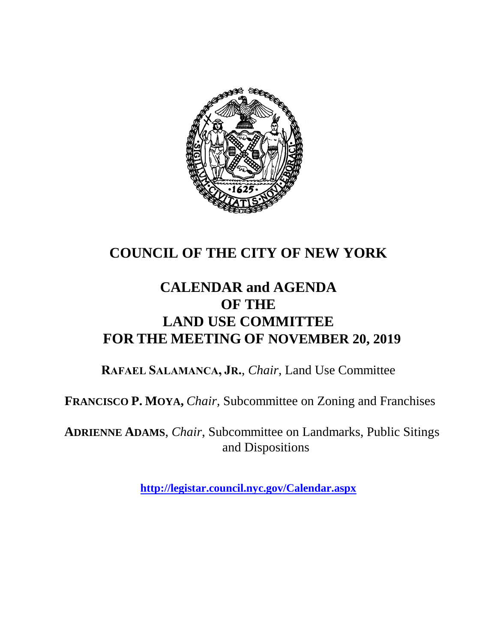

### **COUNCIL OF THE CITY OF NEW YORK**

#### **CALENDAR and AGENDA OF THE LAND USE COMMITTEE FOR THE MEETING OF NOVEMBER 20, 2019**

**RAFAEL SALAMANCA, JR.**, *Chair*, Land Use Committee

**FRANCISCO P. MOYA,** *Chair,* Subcommittee on Zoning and Franchises

**ADRIENNE ADAMS**, *Chair*, Subcommittee on Landmarks, Public Sitings and Dispositions

**<http://legistar.council.nyc.gov/Calendar.aspx>**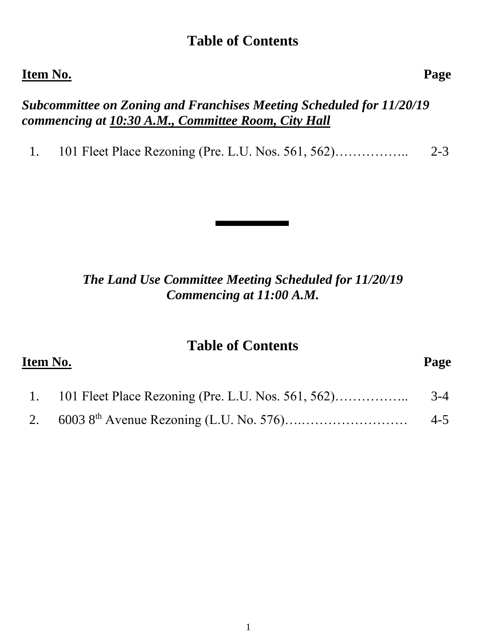#### **Table of Contents**

#### **Item No. Page**

#### *Subcommittee on Zoning and Franchises Meeting Scheduled for 11/20/19 commencing at 10:30 A.M., Committee Room, City Hall*

1. 101 Fleet Place Rezoning (Pre. L.U. Nos. 561, 562)…………….. 2-3

#### *The Land Use Committee Meeting Scheduled for 11/20/19 Commencing at 11:00 A.M.*

#### **Table of Contents**

# **Item No. Page**  1. 101 Fleet Place Rezoning (Pre. L.U. Nos. 561, 562)…………….. 3-4 2. 6003 8th Avenue Rezoning (L.U. No. 576)….…………………… 4-5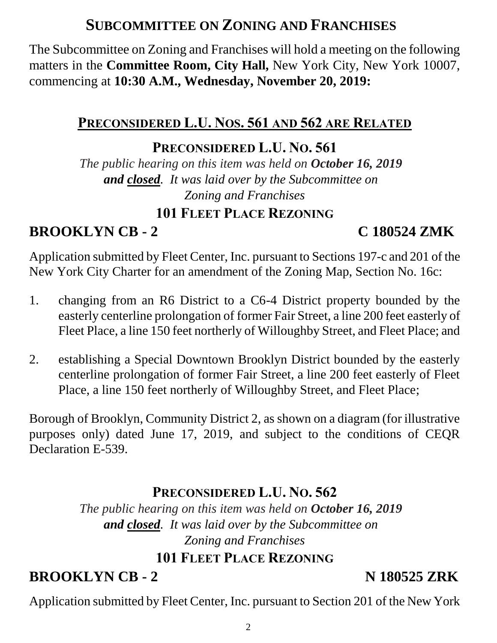### **SUBCOMMITTEE ON ZONING AND FRANCHISES**

The Subcommittee on Zoning and Franchises will hold a meeting on the following matters in the **Committee Room, City Hall,** New York City, New York 10007, commencing at **10:30 A.M., Wednesday, November 20, 2019:**

#### **PRECONSIDERED L.U. NOS. 561 AND 562 ARE RELATED**

#### **PRECONSIDERED L.U. NO. 561**

*The public hearing on this item was held on October 16, 2019 and closed. It was laid over by the Subcommittee on Zoning and Franchises*

#### **101 FLEET PLACE REZONING**

**BROOKLYN CB - 2 C 180524 ZMK**

Application submitted by Fleet Center, Inc. pursuant to Sections 197-c and 201 of the New York City Charter for an amendment of the Zoning Map, Section No. 16c:

- 1. changing from an R6 District to a C6-4 District property bounded by the easterly centerline prolongation of former Fair Street, a line 200 feet easterly of Fleet Place, a line 150 feet northerly of Willoughby Street, and Fleet Place; and
- 2. establishing a Special Downtown Brooklyn District bounded by the easterly centerline prolongation of former Fair Street, a line 200 feet easterly of Fleet Place, a line 150 feet northerly of Willoughby Street, and Fleet Place;

Borough of Brooklyn, Community District 2, as shown on a diagram (for illustrative purposes only) dated June 17, 2019, and subject to the conditions of CEQR Declaration E-539.

### **PRECONSIDERED L.U. NO. 562**

*The public hearing on this item was held on October 16, 2019 and closed. It was laid over by the Subcommittee on Zoning and Franchises*

#### **101 FLEET PLACE REZONING**

**BROOKLYN CB - 2** N 180525 ZRK

Application submitted by Fleet Center, Inc. pursuant to Section 201 of the New York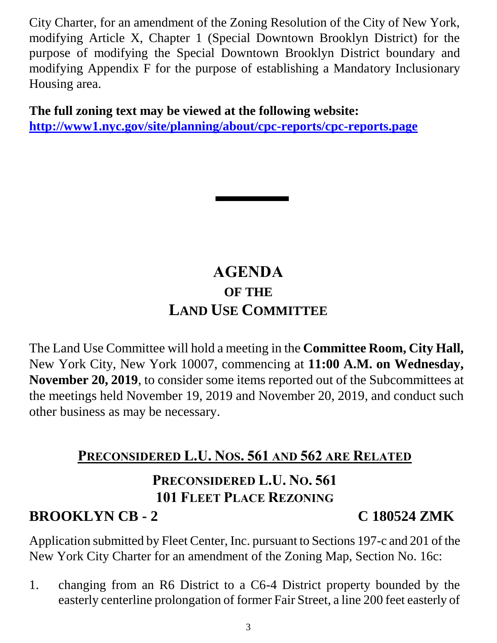City Charter, for an amendment of the Zoning Resolution of the City of New York, modifying Article X, Chapter 1 (Special Downtown Brooklyn District) for the purpose of modifying the Special Downtown Brooklyn District boundary and modifying Appendix F for the purpose of establishing a Mandatory Inclusionary Housing area.

**The full zoning text may be viewed at the following website: <http://www1.nyc.gov/site/planning/about/cpc-reports/cpc-reports.page>**

## **AGENDA OF THE LAND USE COMMITTEE**

The Land Use Committee will hold a meeting in the **Committee Room, City Hall,**  New York City, New York 10007, commencing at **11:00 A.M. on Wednesday, November 20, 2019**, to consider some items reported out of the Subcommittees at the meetings held November 19, 2019 and November 20, 2019, and conduct such other business as may be necessary.

### **PRECONSIDERED L.U. NOS. 561 AND 562 ARE RELATED**

## **PRECONSIDERED L.U. NO. 561 101 FLEET PLACE REZONING**

### **BROOKLYN CB - 2 C 180524 ZMK**

Application submitted by Fleet Center, Inc. pursuant to Sections 197-c and 201 of the New York City Charter for an amendment of the Zoning Map, Section No. 16c:

1. changing from an R6 District to a C6-4 District property bounded by the easterly centerline prolongation of former Fair Street, a line 200 feet easterly of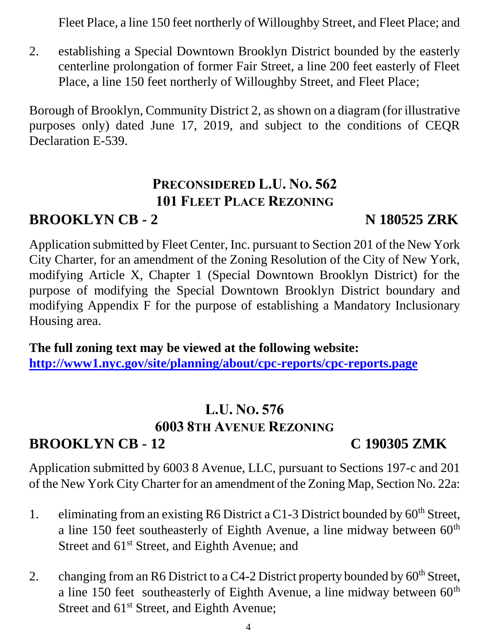Fleet Place, a line 150 feet northerly of Willoughby Street, and Fleet Place; and

2. establishing a Special Downtown Brooklyn District bounded by the easterly centerline prolongation of former Fair Street, a line 200 feet easterly of Fleet Place, a line 150 feet northerly of Willoughby Street, and Fleet Place;

Borough of Brooklyn, Community District 2, as shown on a diagram (for illustrative purposes only) dated June 17, 2019, and subject to the conditions of CEQR Declaration E-539.

#### **PRECONSIDERED L.U. NO. 562 101 FLEET PLACE REZONING**

#### **BROOKLYN CB - 2** N 180525 ZRK

Application submitted by Fleet Center, Inc. pursuant to Section 201 of the New York City Charter, for an amendment of the Zoning Resolution of the City of New York, modifying Article X, Chapter 1 (Special Downtown Brooklyn District) for the purpose of modifying the Special Downtown Brooklyn District boundary and modifying Appendix F for the purpose of establishing a Mandatory Inclusionary Housing area.

**The full zoning text may be viewed at the following website: <http://www1.nyc.gov/site/planning/about/cpc-reports/cpc-reports.page>**

# **L.U. NO. 576 6003 8TH AVENUE REZONING**

### **BROOKLYN CB - 12 C 190305 ZMK**

Application submitted by 6003 8 Avenue, LLC, pursuant to Sections 197-c and 201 of the New York City Charter for an amendment of the Zoning Map, Section No. 22a:

- 1. eliminating from an existing R6 District a C1-3 District bounded by  $60<sup>th</sup>$  Street, a line 150 feet southeasterly of Eighth Avenue, a line midway between  $60<sup>th</sup>$ Street and  $61<sup>st</sup>$  Street, and Eighth Avenue; and
- 2. changing from an R6 District to a C4-2 District property bounded by  $60<sup>th</sup>$  Street, a line 150 feet southeasterly of Eighth Avenue, a line midway between  $60<sup>th</sup>$ Street and 61<sup>st</sup> Street, and Eighth Avenue;